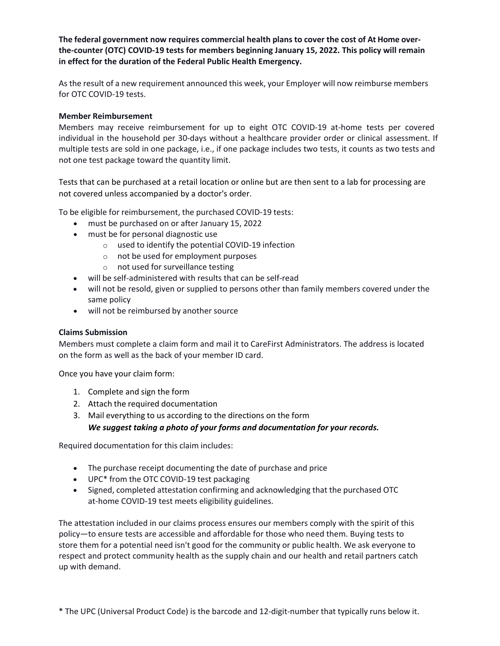**The federal government now requires commercial health plans to cover the cost of At Home over‐ the‐counter (OTC) COVID‐19 tests for members beginning January 15, 2022. This policy will remain in effect for the duration of the Federal Public Health Emergency.**

As the result of a new requirement announced this week, your Employer will now reimburse members for OTC COVID‐19 tests.

#### **Member Reimbursement**

Members may receive reimbursement for up to eight OTC COVID-19 at-home tests per covered individual in the household per 30-days without a healthcare provider order or clinical assessment. If multiple tests are sold in one package, i.e., if one package includes two tests, it counts as two tests and not one test package toward the quantity limit.

Tests that can be purchased at a retail location or online but are then sent to a lab for processing are not covered unless accompanied by a doctor's order.

To be eligible for reimbursement, the purchased COVID‐19 tests:

- must be purchased on or after January 15, 2022
- must be for personal diagnostic use
	- o used to identify the potential COVID‐19 infection
	- o not be used for employment purposes
	- o not used for surveillance testing
- will be self-administered with results that can be self-read
- will not be resold, given or supplied to persons other than family members covered under the same policy
- will not be reimbursed by another source

#### **Claims Submission**

Members must complete a claim form and mail it to CareFirst Administrators. The address is located on the form as well as the back of your member ID card.

Once you have your claim form:

- 1. Complete and sign the form
- 2. Attach the required documentation
- 3. Mail everything to us according to the directions on the form
	- *We suggest taking a photo of your forms and documentation for your records.*

Required documentation for this claim includes:

- The purchase receipt documenting the date of purchase and price
- UPC<sup>\*</sup> from the OTC COVID-19 test packaging
- Signed, completed attestation confirming and acknowledging that the purchased OTC at‐home COVID‐19 test meets eligibility guidelines.

The attestation included in our claims process ensures our members comply with the spirit of this policy—to ensure tests are accessible and affordable for those who need them. Buying tests to store them for a potential need isn't good for the community or public health. We ask everyone to respect and protect community health as the supply chain and our health and retail partners catch up with demand.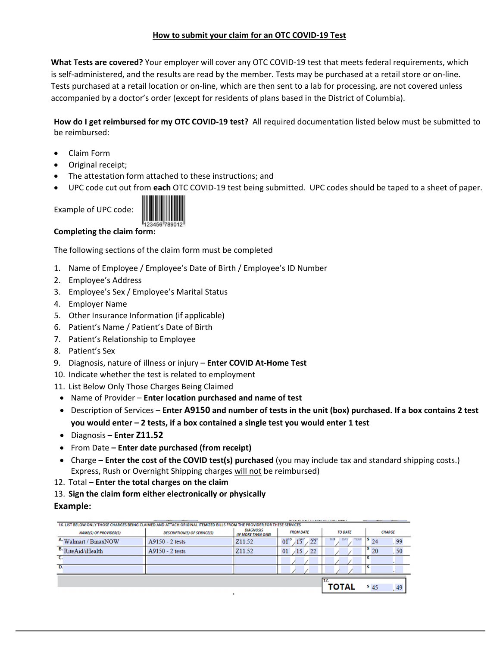## **How to submit your claim for an OTC COVID‐19 Test**

**What Tests are covered?** Your employer will cover any OTC COVID‐19 test that meets federal requirements, which is self‐administered, and the results are read by the member. Tests may be purchased at a retail store or on‐line. Tests purchased at a retail location or on‐line, which are then sent to a lab for processing, are not covered unless accompanied by a doctor's order (except for residents of plans based in the District of Columbia).

**How do I get reimbursed for my OTC COVID‐19 test?** All required documentation listed below must be submitted to be reimbursed:

- Claim Form
- Original receipt;
- The attestation form attached to these instructions; and
- UPC code cut out from **each** OTC COVID‐19 test being submitted. UPC codes should be taped to a sheet of paper.





# **Completing the claim form:**

The following sections of the claim form must be completed

- 1. Name of Employee / Employee's Date of Birth / Employee's ID Number
- 2. Employee's Address
- 3. Employee's Sex / Employee's Marital Status
- 4. Employer Name
- 5. Other Insurance Information (if applicable)
- 6. Patient's Name / Patient's Date of Birth
- 7. Patient's Relationship to Employee
- 8. Patient's Sex
- 9. Diagnosis, nature of illness or injury **Enter COVID At‐Home Test**
- 10. Indicate whether the test is related to employment
- 11. List Below Only Those Charges Being Claimed
- Name of Provider **Enter location purchased and name of test**
- Description of Services Enter A9150 and number of tests in the unit (box) purchased. If a box contains 2 test **you would enter – 2 tests, if a box contained a single test you would enter 1 test**
- Diagnosis **– Enter Z11.52**
- From Date **– Enter date purchased (from receipt)**
- Charge **– Enter the cost of the COVID test(s) purchased** (you may include tax and standard shipping costs.) Express, Rush or Overnight Shipping charges will not be reimbursed)
- 12. Total **Enter the total charges on the claim**
- 13. **Sign the claim form either electronically or physically**

## **Example:**

|                                                                                                                         |                                     |                                               | ___                                |       |               |  |  |  |  |  |  |
|-------------------------------------------------------------------------------------------------------------------------|-------------------------------------|-----------------------------------------------|------------------------------------|-------|---------------|--|--|--|--|--|--|
| 16. LIST BELOW ONLY THOSE CHARGES BEING CLAIMED AND ATTACH ORIGINAL ITEMIZED BILLS FROM THE PROVIDER FOR THESE SERVICES |                                     |                                               |                                    |       |               |  |  |  |  |  |  |
| <b>NAME(S) OF PROVIDER(S)</b>                                                                                           | <b>DESCRIPTION(S) OF SERVICE(S)</b> | <b>DIAGNOSIS</b><br><b>(IF MORE THAN ONE)</b> | <b>FROM DATE</b><br><b>TO DATE</b> |       | <b>CHARGE</b> |  |  |  |  |  |  |
| A. Walmart / BinaxNOW                                                                                                   | $A9150 - 2$ tests                   | Z11.52                                        | , 22<br>01                         | MO    | .99<br>24     |  |  |  |  |  |  |
| B. RiteAid/iHealth                                                                                                      | $A9150 - 2$ tests                   | Z <sub>11.52</sub>                            | /22<br>01<br>$\sqrt{15}$           |       | .50<br>20     |  |  |  |  |  |  |
|                                                                                                                         |                                     |                                               |                                    |       |               |  |  |  |  |  |  |
| D.                                                                                                                      |                                     |                                               |                                    |       |               |  |  |  |  |  |  |
|                                                                                                                         |                                     |                                               |                                    |       |               |  |  |  |  |  |  |
|                                                                                                                         |                                     |                                               |                                    | ΤΟΤΑL | 545<br>,49    |  |  |  |  |  |  |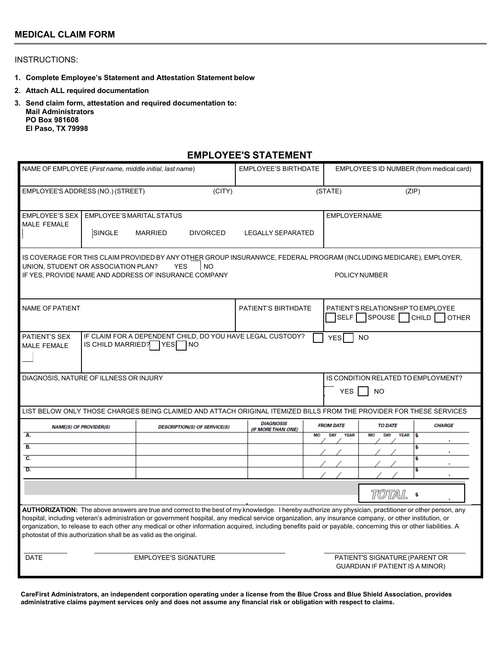## **MEDICAL CLAIM FORM**

### INSTRUCTIONS:

- **1. Complete Employee's Statement and Attestation Statement below**
- **2. Attach ALL required documentation**
- **3. Send claim form, attestation and required documentation to: Mail Administrators PO Box 981608 El Paso, TX 79998**

### **EMPLOYEE'S STATEMENT**

| NAME OF EMPLOYEE (First name, middle initial, last name)                                                                                                                                                                                                                                                                                                                                                                                                                                                                                                |                                                                                                  |                | <b>EMPLOYEE'S BIRTHDATE</b>         |                                                                                                                     | EMPLOYEE'S ID NUMBER (from medical card)                                             |                           |                                 |                |  |
|---------------------------------------------------------------------------------------------------------------------------------------------------------------------------------------------------------------------------------------------------------------------------------------------------------------------------------------------------------------------------------------------------------------------------------------------------------------------------------------------------------------------------------------------------------|--------------------------------------------------------------------------------------------------|----------------|-------------------------------------|---------------------------------------------------------------------------------------------------------------------|--------------------------------------------------------------------------------------|---------------------------|---------------------------------|----------------|--|
| (CITY)<br>EMPLOYEE'S ADDRESS (NO.) (STREET)                                                                                                                                                                                                                                                                                                                                                                                                                                                                                                             |                                                                                                  |                |                                     | (STATE)<br>(ZIP)                                                                                                    |                                                                                      |                           |                                 |                |  |
| <b>EMPLOYEE'S SEX</b><br><b>MALE FEMALE</b>                                                                                                                                                                                                                                                                                                                                                                                                                                                                                                             | <b>EMPLOYEE'S MARITAL STATUS</b>                                                                 |                |                                     |                                                                                                                     |                                                                                      | <b>EMPLOYER NAME</b>      |                                 |                |  |
|                                                                                                                                                                                                                                                                                                                                                                                                                                                                                                                                                         | <b>SINGLE</b>                                                                                    | <b>MARRIED</b> | <b>DIVORCED</b>                     | <b>LEGALLY SEPARATED</b>                                                                                            |                                                                                      |                           |                                 |                |  |
| IS COVERAGE FOR THIS CLAIM PROVIDED BY ANY OTHER GROUP INSURANWCE, FEDERAL PROGRAM (INCLUDING MEDICARE), EMPLOYER,<br>UNION, STUDENT OR ASSOCIATION PLAN?<br><b>YES</b><br>NO<br>IF YES, PROVIDE NAME AND ADDRESS OF INSURANCE COMPANY<br>POLICY NUMBER                                                                                                                                                                                                                                                                                                 |                                                                                                  |                |                                     |                                                                                                                     |                                                                                      |                           |                                 |                |  |
| <b>NAME OF PATIENT</b>                                                                                                                                                                                                                                                                                                                                                                                                                                                                                                                                  |                                                                                                  |                | <b>PATIENT'S BIRTHDATE</b>          |                                                                                                                     | PATIENT'S RELATIONSHIP TO EMPLOYEE<br>SPOUSE<br><b>SELF</b><br>CHILD<br><b>OTHER</b> |                           |                                 |                |  |
| IF CLAIM FOR A DEPENDENT CHILD, DO YOU HAVE LEGAL CUSTODY?<br>PATIENT'S SEX<br><b>YES</b><br><b>NO</b><br>IS CHILD MARRIED? YES<br><b>INO</b><br>MALE FEMALE                                                                                                                                                                                                                                                                                                                                                                                            |                                                                                                  |                |                                     |                                                                                                                     |                                                                                      |                           |                                 |                |  |
| DIAGNOSIS, NATURE OF ILLNESS OR INJURY                                                                                                                                                                                                                                                                                                                                                                                                                                                                                                                  |                                                                                                  |                |                                     |                                                                                                                     | IS CONDITION RELATED TO EMPLOYMENT?<br><b>YES</b><br><b>NO</b>                       |                           |                                 |                |  |
|                                                                                                                                                                                                                                                                                                                                                                                                                                                                                                                                                         |                                                                                                  |                |                                     | LIST BELOW ONLY THOSE CHARGES BEING CLAIMED AND ATTACH ORIGINAL ITEMIZED BILLS FROM THE PROVIDER FOR THESE SERVICES |                                                                                      |                           |                                 |                |  |
|                                                                                                                                                                                                                                                                                                                                                                                                                                                                                                                                                         | <b>NAME(S) OF PROVIDER(S)</b>                                                                    |                | <b>DESCRIPTION(S) OF SERVICE(S)</b> | <b>DIAGNOSIS</b><br>(IF MORE THAN ONE)                                                                              | <b>FROM DATE</b><br>MO                                                               |                           | <b>TO DATE</b><br><b>CHARGE</b> |                |  |
| Α.<br>В.                                                                                                                                                                                                                                                                                                                                                                                                                                                                                                                                                |                                                                                                  |                |                                     |                                                                                                                     |                                                                                      | <b>YEAR</b><br><b>DAY</b> | MO<br><b>DAY</b><br><b>YEAR</b> | <b>s</b><br>\$ |  |
| $\overline{c}$ .                                                                                                                                                                                                                                                                                                                                                                                                                                                                                                                                        |                                                                                                  |                |                                     |                                                                                                                     |                                                                                      |                           |                                 | Ś              |  |
| D.                                                                                                                                                                                                                                                                                                                                                                                                                                                                                                                                                      |                                                                                                  |                |                                     |                                                                                                                     |                                                                                      |                           |                                 |                |  |
| total<br>\$                                                                                                                                                                                                                                                                                                                                                                                                                                                                                                                                             |                                                                                                  |                |                                     |                                                                                                                     |                                                                                      |                           |                                 |                |  |
| AUTHORIZATION: The above answers are true and correct to the best of my knowledge. I hereby authorize any physician, practitioner or other person, any<br>hospital, including veteran's administration or government hospital, any medical service organization, any insurance company, or other institution, or<br>organization, to release to each other any medical or other information acquired, including benefits paid or payable, concerning this or other liabilities. A<br>photostat of this authorization shall be as valid as the original. |                                                                                                  |                |                                     |                                                                                                                     |                                                                                      |                           |                                 |                |  |
| <b>DATE</b>                                                                                                                                                                                                                                                                                                                                                                                                                                                                                                                                             | <b>EMPLOYEE'S SIGNATURE</b><br>PATIENT'S SIGNATURE (PARENT OR<br>GUARDIAN IF PATIENT IS A MINOR) |                |                                     |                                                                                                                     |                                                                                      |                           |                                 |                |  |

**CareFirst Administrators, an independent corporation operating under a license from the Blue Cross and Blue Shield Association, provides administrative claims payment services only and does not assume any financial risk or obligation with respect to claims.**